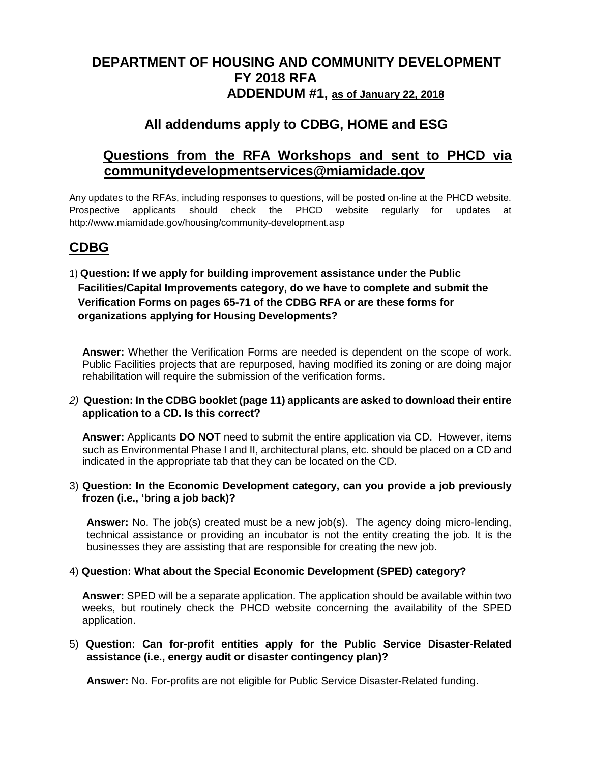# **DEPARTMENT OF HOUSING AND COMMUNITY DEVELOPMENT FY 2018 RFA ADDENDUM #1, as of January 22, 2018**

# **All addendums apply to CDBG, HOME and ESG**

# **Questions from the RFA Workshops and sent to PHCD via communitydevelopmentservices@miamidade.gov**

Any updates to the RFAs, including responses to questions, will be posted on-line at the PHCD website. Prospective applicants should check the PHCD website regularly for updates at http://www.miamidade.gov/housing/community-development.asp

## **CDBG**

1) **Question: If we apply for building improvement assistance under the Public Facilities/Capital Improvements category, do we have to complete and submit the Verification Forms on pages 65-71 of the CDBG RFA or are these forms for organizations applying for Housing Developments?**

**Answer:** Whether the Verification Forms are needed is dependent on the scope of work. Public Facilities projects that are repurposed, having modified its zoning or are doing major rehabilitation will require the submission of the verification forms.

## *2)* **Question: In the CDBG booklet (page 11) applicants are asked to download their entire application to a CD. Is this correct?**

**Answer:** Applicants **DO NOT** need to submit the entire application via CD. However, items such as Environmental Phase I and II, architectural plans, etc. should be placed on a CD and indicated in the appropriate tab that they can be located on the CD.

## 3) **Question: In the Economic Development category, can you provide a job previously frozen (i.e., 'bring a job back)?**

**Answer:** No. The job(s) created must be a new job(s). The agency doing micro-lending, technical assistance or providing an incubator is not the entity creating the job. It is the businesses they are assisting that are responsible for creating the new job.

## 4) **Question: What about the Special Economic Development (SPED) category?**

**Answer:** SPED will be a separate application. The application should be available within two weeks, but routinely check the PHCD website concerning the availability of the SPED application.

## 5) **Question: Can for-profit entities apply for the Public Service Disaster-Related assistance (i.e., energy audit or disaster contingency plan)?**

**Answer:** No. For-profits are not eligible for Public Service Disaster-Related funding.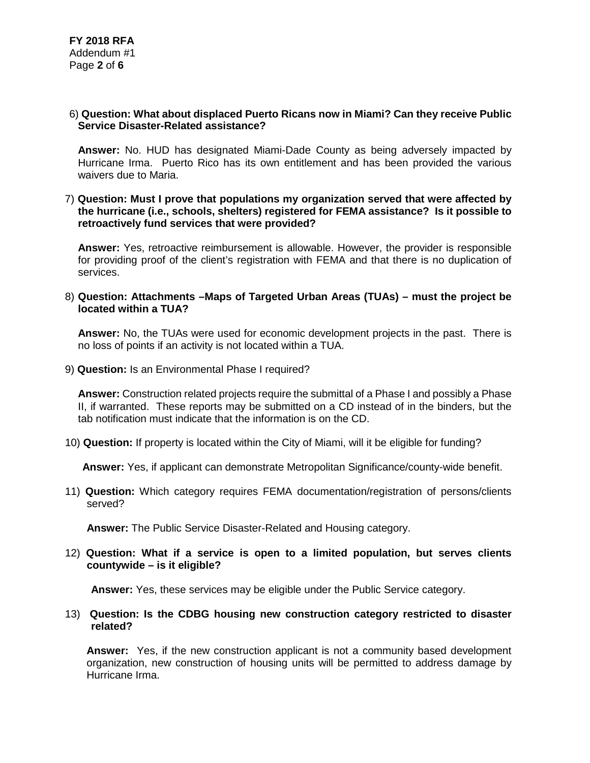## 6) **Question: What about displaced Puerto Ricans now in Miami? Can they receive Public Service Disaster-Related assistance?**

**Answer:** No. HUD has designated Miami-Dade County as being adversely impacted by Hurricane Irma. Puerto Rico has its own entitlement and has been provided the various waivers due to Maria.

#### 7) **Question: Must I prove that populations my organization served that were affected by the hurricane (i.e., schools, shelters) registered for FEMA assistance? Is it possible to retroactively fund services that were provided?**

**Answer:** Yes, retroactive reimbursement is allowable. However, the provider is responsible for providing proof of the client's registration with FEMA and that there is no duplication of services.

#### 8) **Question: Attachments –Maps of Targeted Urban Areas (TUAs) – must the project be located within a TUA?**

**Answer:** No, the TUAs were used for economic development projects in the past. There is no loss of points if an activity is not located within a TUA.

9) **Question:** Is an Environmental Phase I required?

**Answer:** Construction related projects require the submittal of a Phase I and possibly a Phase II, if warranted. These reports may be submitted on a CD instead of in the binders, but the tab notification must indicate that the information is on the CD.

10) **Question:** If property is located within the City of Miami, will it be eligible for funding?

**Answer:** Yes, if applicant can demonstrate Metropolitan Significance/county-wide benefit.

11) **Question:** Which category requires FEMA documentation/registration of persons/clients served?

**Answer:** The Public Service Disaster-Related and Housing category.

12) **Question: What if a service is open to a limited population, but serves clients countywide – is it eligible?**

**Answer:** Yes, these services may be eligible under the Public Service category.

#### 13) **Question: Is the CDBG housing new construction category restricted to disaster related?**

**Answer:** Yes, if the new construction applicant is not a community based development organization, new construction of housing units will be permitted to address damage by Hurricane Irma.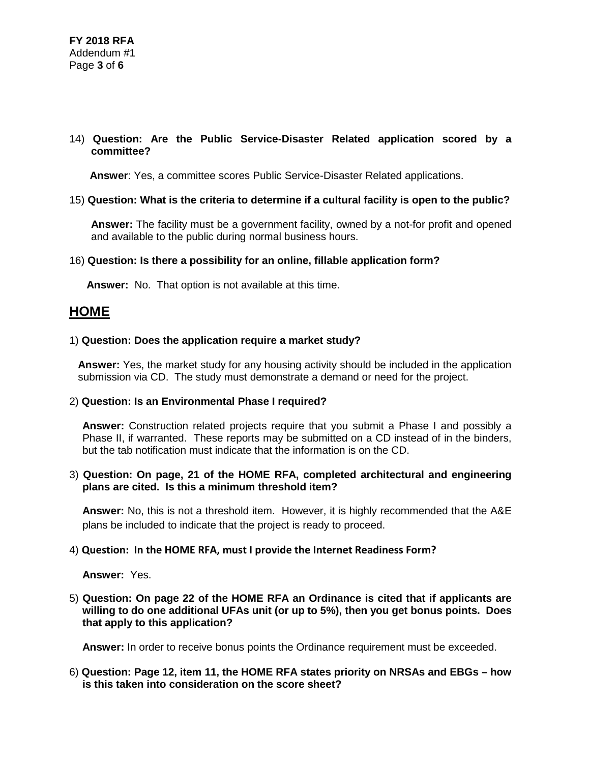## 14) **Question: Are the Public Service-Disaster Related application scored by a committee?**

**Answer**: Yes, a committee scores Public Service-Disaster Related applications.

## 15) **Question: What is the criteria to determine if a cultural facility is open to the public?**

**Answer:** The facility must be a government facility, owned by a not-for profit and opened and available to the public during normal business hours.

#### 16) **Question: Is there a possibility for an online, fillable application form?**

**Answer:** No. That option is not available at this time.

## **HOME**

#### 1) **Question: Does the application require a market study?**

**Answer:** Yes, the market study for any housing activity should be included in the application submission via CD. The study must demonstrate a demand or need for the project.

#### 2) **Question: Is an Environmental Phase I required?**

**Answer:** Construction related projects require that you submit a Phase I and possibly a Phase II, if warranted. These reports may be submitted on a CD instead of in the binders, but the tab notification must indicate that the information is on the CD.

## 3) **Question: On page, 21 of the HOME RFA, completed architectural and engineering plans are cited. Is this a minimum threshold item?**

**Answer:** No, this is not a threshold item. However, it is highly recommended that the A&E plans be included to indicate that the project is ready to proceed.

#### 4) **Question: In the HOME RFA, must I provide the Internet Readiness Form?**

**Answer:** Yes.

## 5) **Question: On page 22 of the HOME RFA an Ordinance is cited that if applicants are willing to do one additional UFAs unit (or up to 5%), then you get bonus points. Does that apply to this application?**

**Answer:** In order to receive bonus points the Ordinance requirement must be exceeded.

## 6) **Question: Page 12, item 11, the HOME RFA states priority on NRSAs and EBGs – how is this taken into consideration on the score sheet?**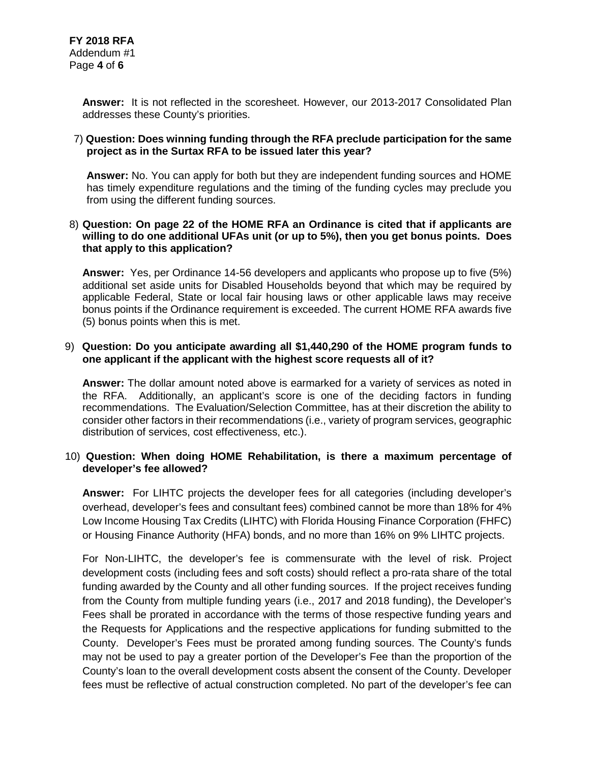**Answer:** It is not reflected in the scoresheet. However, our 2013-2017 Consolidated Plan addresses these County's priorities.

## 7) **Question: Does winning funding through the RFA preclude participation for the same project as in the Surtax RFA to be issued later this year?**

**Answer:** No. You can apply for both but they are independent funding sources and HOME has timely expenditure regulations and the timing of the funding cycles may preclude you from using the different funding sources.

#### 8) **Question: On page 22 of the HOME RFA an Ordinance is cited that if applicants are willing to do one additional UFAs unit (or up to 5%), then you get bonus points. Does that apply to this application?**

**Answer:** Yes, per Ordinance 14-56 developers and applicants who propose up to five (5%) additional set aside units for Disabled Households beyond that which may be required by applicable Federal, State or local fair housing laws or other applicable laws may receive bonus points if the Ordinance requirement is exceeded. The current HOME RFA awards five (5) bonus points when this is met.

#### 9) **Question: Do you anticipate awarding all \$1,440,290 of the HOME program funds to one applicant if the applicant with the highest score requests all of it?**

**Answer:** The dollar amount noted above is earmarked for a variety of services as noted in the RFA. Additionally, an applicant's score is one of the deciding factors in funding recommendations. The Evaluation/Selection Committee, has at their discretion the ability to consider other factors in their recommendations (i.e., variety of program services, geographic distribution of services, cost effectiveness, etc.).

## 10) **Question: When doing HOME Rehabilitation, is there a maximum percentage of developer's fee allowed?**

**Answer:** For LIHTC projects the developer fees for all categories (including developer's overhead, developer's fees and consultant fees) combined cannot be more than 18% for 4% Low Income Housing Tax Credits (LIHTC) with Florida Housing Finance Corporation (FHFC) or Housing Finance Authority (HFA) bonds, and no more than 16% on 9% LIHTC projects.

For Non-LIHTC, the developer's fee is commensurate with the level of risk. Project development costs (including fees and soft costs) should reflect a pro-rata share of the total funding awarded by the County and all other funding sources. If the project receives funding from the County from multiple funding years (i.e., 2017 and 2018 funding), the Developer's Fees shall be prorated in accordance with the terms of those respective funding years and the Requests for Applications and the respective applications for funding submitted to the County. Developer's Fees must be prorated among funding sources. The County's funds may not be used to pay a greater portion of the Developer's Fee than the proportion of the County's loan to the overall development costs absent the consent of the County. Developer fees must be reflective of actual construction completed. No part of the developer's fee can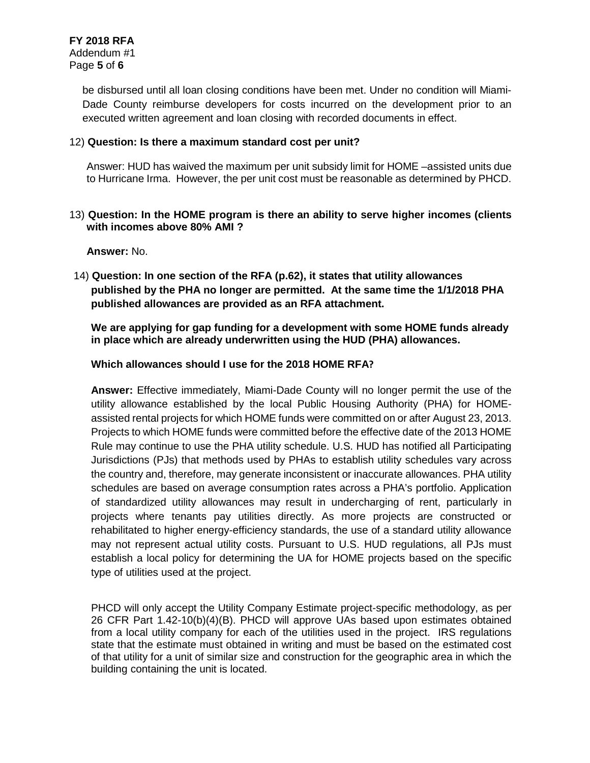be disbursed until all loan closing conditions have been met. Under no condition will Miami-Dade County reimburse developers for costs incurred on the development prior to an executed written agreement and loan closing with recorded documents in effect.

## 12) **Question: Is there a maximum standard cost per unit?**

Answer: HUD has waived the maximum per unit subsidy limit for HOME –assisted units due to Hurricane Irma. However, the per unit cost must be reasonable as determined by PHCD.

## 13) **Question: In the HOME program is there an ability to serve higher incomes (clients with incomes above 80% AMI ?**

**Answer:** No.

14) **Question: In one section of the RFA (p.62), it states that utility allowances published by the PHA no longer are permitted. At the same time the 1/1/2018 PHA published allowances are provided as an RFA attachment.** 

**We are applying for gap funding for a development with some HOME funds already in place which are already underwritten using the HUD (PHA) allowances.**

## **Which allowances should I use for the 2018 HOME RFA?**

**Answer:** Effective immediately, Miami-Dade County will no longer permit the use of the utility allowance established by the local Public Housing Authority (PHA) for HOMEassisted rental projects for which HOME funds were committed on or after August 23, 2013. Projects to which HOME funds were committed before the effective date of the 2013 HOME Rule may continue to use the PHA utility schedule. U.S. HUD has notified all Participating Jurisdictions (PJs) that methods used by PHAs to establish utility schedules vary across the country and, therefore, may generate inconsistent or inaccurate allowances. PHA utility schedules are based on average consumption rates across a PHA's portfolio. Application of standardized utility allowances may result in undercharging of rent, particularly in projects where tenants pay utilities directly. As more projects are constructed or rehabilitated to higher energy-efficiency standards, the use of a standard utility allowance may not represent actual utility costs. Pursuant to U.S. HUD regulations, all PJs must establish a local policy for determining the UA for HOME projects based on the specific type of utilities used at the project.

PHCD will only accept the Utility Company Estimate project-specific methodology, as per 26 CFR Part 1.42-10(b)(4)(B). PHCD will approve UAs based upon estimates obtained from a local utility company for each of the utilities used in the project. IRS regulations state that the estimate must obtained in writing and must be based on the estimated cost of that utility for a unit of similar size and construction for the geographic area in which the building containing the unit is located.